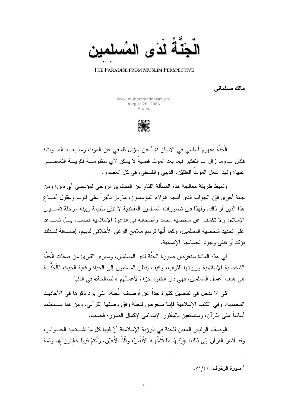

## THE PARADISE FROM MUSLIM PERSPECTIVE

مالك مسلماني

www.muhammadanism.org August 28, 2006 Arabic

الْجَنَّة مفهوم أساسي في الأديان نشأ عن سؤال فلسفي عن الموت وما بعــد المـــوت؛ فكان \_ و ما ز ال \_ التفكير فيما بعد الموت قضيةً لا يمكن لأى منظو مــــة فكر يــــة التغاضــــى عنها؛ ولهذا شَغَلَ الموتُ العقليْن، الديني والفلسفي، في كل العصور .

ونميط طريقة معالجة هذه المسألة اللثام عن المستوى الروحي لمؤسسي أي دين؛ ومن جهة أخرى فإن الجواب الذي أنتجه هؤلاء المؤسسون، مارس نأنثيراً على قلوب وعقول أنبساع هذا الدين أو ذاك. ولهذا فإن تصور ات المسلمين العقائدية لا نبيِّن طبيعة وبيئة مر حلة تأســـيس الإسلام، ولا تكشف عن شخصية محمد و أصحابه في الدعوة الإسلامية فحسب، بــل تســـاعد على نحديد شخصية المسلمين، وكما أنها نرسم ملامح الوعي الأخلاقي لديهم، إضـــافةً لـــذلك نَوَكد أو نتفى وجود الحساسية الإنسانية.

في هذه المادة سنعر ض صور ة الجنَّة لدى المسلمين، وسير ي القار ئ من صفات الْجَنَّة الشخصية الإسلامية ورؤيتها للثواب، وكيف ينظر المسلمون إلىي الحياة وغاية الحياة، فالْجَنَّـــة هي هدف أعمال المسلمين، فهي دار الخلود جزاءً لأعمالهم «الصالحة» في الدنيا.

كي لا ندخل في تفاصيل كثير ۃ جداً عن أو صاف الْجَنَّة، التي بر د ذكر ها في الأحاديث المحمدية، و في الكتب الإسلامية فإننا سنعر ض للجنَّة و فق وصفها القر آني. و من هنا ســـنعتمد أساساً على القر آن، وسنستعين بالمأثور الإسلامي لإكمال الصورة فحسب.

الوصف الرئيس المعين للجنة في الرؤية الإسلامية أنَّ فيها كل ما تشـــتهيه الحـــواس، وقد أشار القرآن إلى ذلك: ﴿وَفيهَا مَا نَتْشْتَهِيه الأَنفُسُ، وَتَلَذُّ الأَعْيُنُ، وَأَنتُمْ فيهَا خَالدُونَ ﴾. وثمة

سورة الزخرف: ٧١/٤٣.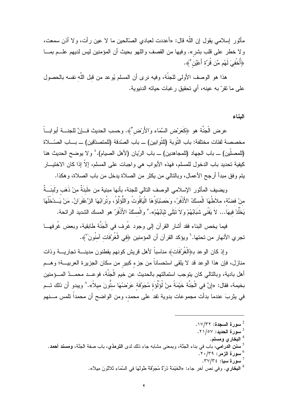مأثور السلامي يقول إن اللّه قال: «أعددت لعبادي الصّالحين ما لا عين ر أت، و لا أذن سمعت، ولا خطر على قلب بشر». وفيها من القصف واللهو بحيث أن المؤمنين ليس لديهم علـــم بمـــا ﴿أُخْفِيَ لَهُم مِّن قُرَّةٍ أَعْيُنٍ ۚ}.

هذا هو الوصف الأولى للجنَّة، وفيه نرى أن المسلم يُوعد من قبل اللَّه نفسه بالحصول على ما نقرّ به عينه، أي تحقيق ر غبات حياته الدنيوية.

البناء

عرض الْجَنَّة هو ﴿كَعَرَض السَّمَاء وَالأَرْض َّ﴾. وحسب الحديث فــإنَّ للجنـــة أبوابـــاً مخصصة لفئات مختلفة: باب التَّوبة (للتَّوابين) ـــ باب الصّدقة (للمتصدّقين) ـــ بـــاب الصّــــلاة (للمصلّين) ــ باب الجهاد (للمجاهدين) ـــ باب الرّيان (لأهل الصيام). ٔ و لا يوضح الحديث هنا كيفية تحديد باب الدخول للمسلم، فهذه الأبواب هي واجبات على المسلم، إلاّ إذا كان الاختيـــار يتم وفق مبدأ أرجح الأعمال، وبالتالي من يكثر من الصلاة يدخل من باب الصلاة، وهكذا.

ويضيف المأثور الإسلامي الوصف النالي للجنة، بأنها مبنية من «لَبنَةٌ منْ ذَهَب ولَبنَــةٌ منْ فضنَّة، ملاَطُهَا الْمسْكُ الأَذْفَرُ، وَحَصْبْاؤُهَا الْيَاقُوتُ وَاللُّؤَلُوُ، وتُرَابُهَا الزَّعْفَرَانُ. مَنْ يَــدْخُلْهَا يَخْلُدْ فيهَا... لاَ يَفْنَى شَبَابُهُمْ وَلاَ تَبْلَى ثَيَابُهُمْ». ۚ والْمسْكُ الأَذْفَرُ هو المسك الشديد الرائحة.

فيما يخص البناء فقد أشار القرآن إلى وجود غُرف في الْجَنَّة طابقية، وبعض غُرفهـــا تجري الأنهار من تحتها. ` ويؤكد القرآن أن المؤمنين ﴿فِي الْغُرُفَات آمنُونَ ۢ﴾.

وإذ كان الوعد بـ﴿الْغُرُفَاتِ﴾ مناسباً لأهل قريش كونهم يقطنون مدينـــة تجاريــــة وذات منازل، فإن هذا الوعد قد لا يلقى استحساناً من جزء كبير من سكان الجزيرة العربيـــة؛ وهـــم أهل بادية، وبالنالي كان يتوجب استمالتهم بالحديث عن خيم الْجَنَّة، فوعــد محمــدٌ المـــؤمنين بخيمة، فقال: «إنَّ في الْجَنَّة خَيْمَةً منْ لُوَلُوَة مُجَوَّفَة عَرصْمُهَا ستُّونَ ميلاً».^ ويبدو أن ذلك تــم في يثربَ عندما بدأت مجموعات بدوية تفد على محمد، ومن الواضح أن محمداً نلمس مــــنهم

<sup>4</sup> البخار ي ومسلم.

- <sup>6</sup> سورة الزمر: ٢٩/٣٩.
- سورة سيا: ٣٧/٣٤.
- <sup>8</sup> ا**لبخار ي.** و في نص أخر جاء: «الْخَبْمَةُ دُر<sup>ِ</sup>ّةٌ مُجَوَّفَةٌ طُولُهَا فِي السَّمَاءِ تَلاثُونَ مِيلاً».

<sup>.</sup> سورة السجدة: ١٧/٣٢.

<sup>&</sup>lt;sup>3</sup> سورة الحديد: ٢١/٥٧.

<sup>&</sup>lt;sup>5</sup> س**نن الدرامي**، باب في بناء الْجَنَّة، وبمعنى مشابه جاء ذلك لدى **الترمذي،** باب صفة الْجَنَّة، **ومسند أحمد.**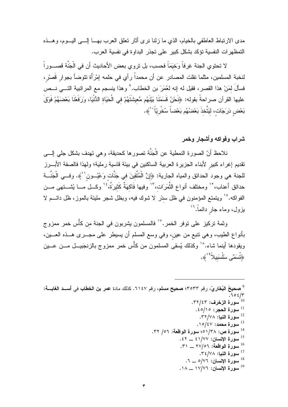مدى الارتباط العاطفي بالخيام، الذي ما زلنا نرى أثار تعلق العرب بهـــا إلـــي البـــوم، وهـــذه التمظهر ات النفسية تؤكد بشكل كبير على تجذر البداوة في نفسية العرب.

لا تحتوي الجنة غرفاً وَخيَمَاً فحسب، بل تروى بعض الأحاديث أن في الْجَنَّة قصـــور اً لنخبة المسلمين، مثلما نقلت المصـادر عن أن محمداً ر أي في حلمه إمْرَأة نتوضأ بجوار قَصرْ ، فسألَ لمَنْ هذا القصرِ، فقيل له إنه لعُمَرَ بن الخطاب. ۚ وهذا ينسجم مع المراتبية التــــى نـــص عليها القرآن صراحةً بقوله: ﴿نَحْنُ قَسَمْنَا بَيْنَهُم مَّعِيشَتَهُمْ في الْحَيَاة الدُّنْيَا، وَرَفَعْنَا بَعْضَهُمْ فَوَوْقَ بَعْض دَرَجَات، ليَتَّخذَ بَعْضُهُم بَعْضاً سُخْرِيّاً ` ﴾.

## شراب وفواكه وأشجار وخمر

نلاحظ أنّ الصورة النمطية عن الْجَنَّة تصورها كحديقة، وهي تهدف بشكل جلي إلــــى تقديم إغراء كبير لأبناء الجزيرة العربية الساكنين في بيئة قاسية رملية؛ ولهذا فالصفة الأبـــرز للجنة هي وجود الحدائق والمياه الجارية: ﴿إِنَّ الْمُتَّقِينَ في جَنَّات وَعُيُـــون للهه. وفـــي الْجَنَّـــة حدائق أعناب،'' ومختلف أنواع الثَّمَرَات،'' وفيها فَاكهَةٌ كَثيرَةٌ،'' وكلَّ مــا يُشــتهي مــن الفواكه.°` ويتمتع المؤمنون في ظل سدْر لا شوك فيه، وبظل شجر مليئة بالموز، ظل دائـــم لا بزول، وماء جار دائماً.<sup>۱۶</sup>

وثمة تركيز على توفر الخمر .''' فالمسلمون يشربون في الجنة من كأُس خمر ممزوج بأنواع الطيب، وهي نتبع من عين، وفي وسع المسلم أن يسيطر على مجـــرى هـــذه العــــين، ويقودها أينما شاء.^` وكذلك يُسقى المسلمون من كأْس خمر ممزوج بالزنجَبيـــل مــــن عــــين ﴿ثُمِنَ*مَّى* سَلْسَبِيلاً ۚ ﴾.

<sup>9</sup> صحيحُ البُخَارِيّ، رقم ٣٥٣٣؛ صحيح مسلم، رقم ٢١٤٧. كذلك مادة عمر بن الخطاب في أســد الغابـــة:  $.702/T$ سورة الزخرف: ٣٢/٤٣. <sup>11</sup> سورة الحجر: ٥/١٥. .۳۲/۷۸ سورة النبإ: ۳۲/۷۸. .۱۰/٤۷ سورة محمد $\epsilon$ ۰۱۰/ <sup>14</sup> سورة ص: ١/٣٨م؛ سورة الواقعة: ٢٦/ ٣٢. . سورة الإنسان: ١/٧٧ \_ ٤٢. سورة الواقعة: ٢٧/٥٦ \_ ٣١. سورة النبإ: ٣٤/٧٨. سورة الإنسان: ٧٦/٥ \_ ٦.  $\cdot$ ا سورة الإنسان: ١٧/٧٦ \_ ١٨.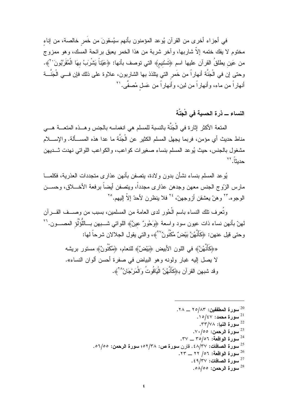في أجزاء أخرى من القرآن يُوعد المؤمنون بأنهم سيُسقونَ من خُمرٍ خالصة، من إناء مختوم لا يفك ختمه إلاّ شار بها، و آخر شربة من هذا الخمر يعبق بر ائحة المسك، و هو ممز و ج من عَين يطلقُ القرآن عليها اسم ﴿تَسْنيمِ﴾ التي توصف بأنها: ﴿عَيْناً يَشْرِبُ بهَا الْمُقَرَّبُونَ ''﴾. وحتى إن في الْجَنَّة أنهاراً من خَمر النبي يتلذذ بها الشاربون، علاوة على ذلك فإن فـــي الْجَنَّـــة أنهاراً من ماء، وأنهاراً من لبن، وأنهاراً من عَسل مُصفًّى.''

## النساء ـــ ذرة الحسية في الْجَنَّة

المتعة الأكثر إثارة في الْجَنَّة بالنسبة للمسلم هي انغماسه بالجنس وهــذه المتعـــة هـــي مناط حديث أي مؤمن، فربما يجهل المسلم الكثير عن الْجَنَّة ما عدا هذه المســـألـة. والإســــلام مشغول بالجنس، حيث يُوعد المسلم بنساء صغير ات كو اعب، والكو اعب اللواتي نهدت شــديهن حديثاً. ٢٢

يُوعد المسلم بنساء نشأن بدون ولادة، يتصفن بأنهن عذارى متجددات العذرية، فكلمـــا مارس الزَّوج الجنس معهن وجدهن عذارى مجدداً، ويتصفن أيضاً برفعة الأخــــلاق، وحســـن الوجو مكّ" وهنّ يعشقن أز وجهنّ، ٢٤ فلا ينظر ن لأحدّ إلاّ إليهم. ٢٥

وتُعرف تلك النساء باسم الْحُور لدى العامة من المسلمين، بسبب من وصـــف القـــر آن لمهنّ بأنهن نساء ذات عيون سود واسعة ﴿وَحُورٌ عينٌ﴾ اللواتـي شــــبـهن بـــاللَّوْلُوُ المصــــون. `` وحتى قيل عنهن: ﴿كَأَنَّهُنَّ بَيْضٌ مَّكْنُونٌ ``﴾، والتي يقول الجلالان شرحاً لها:

> «﴿كَأَنَّهُنَّ» في اللون الأبيض ﴿بَيْضٌ﴾ للنعام، ﴿مَّكْنُونٌ﴾ مستور بريشه لا يصل إليه غبار ولونه وهو البياض في صفرة أحسن ألوان النساء». وقد شبهن القرآن بـ﴿كَأَنَّهُنَّ الْيَاقُوتُ وَالْمَرْجَانُ^'﴾.

> > . سورة المطففين: ٢٥/٨٣ \_ ٢٨. . المورة محمد: ١٥/٤٧. سورة النبإ: ٣٣/٧٨. . $\vee \cdot /$ 00 - سورة الرحمن: ٥٥/٠٧٠  $.74$ سورة الواقعة: ٥٦/٥٦ \_ ٣٧. <sup>25</sup> سورة الصافات: ٤٨/٣٧ . قارن سورة ص: ٥٢/٣٨؛ سورة الرحمن: ٥٦/٥٥. سورة الواقعة: ٥٦/ ٢٢ \_ ٢٣.  $.27$ سورة الصافات: ٤٩/٣٧. سورة الرحمن: ٥٨/٥٥.  $^{28}$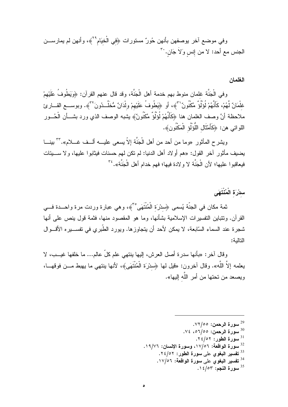وفي موضع أخر يوصفهن بأنهن حُورٌ مستورات ﴿فِي الْخِيَام ُ ۚ؟ ﴾، وأنهن لم يمارســـن الجنس مع أحد: لا من إنس وَلاَ جَان. `'

الغلمان

وفي الْجَنَّة غلمان منوط بهم خدمة أهل الْجَنَّة، وقد قال عنهم القرآن: ﴿وَيَطُوفُ عَلَيْهِمْ غلْمَانٌ لَّهُمْ، كَأَنَّهُمْ لُوَلُوٌّ مَّكْنُونٌ''"﴾، أو ﴿يَطُوفُ عَلَيْهِمْ ولْدَانٌ مُّخَلَّــدُونَ'"﴾. وبوســـع القـــارئ ملاحظة أنَّ وصف الغلمان هنا ﴿كَأَنَّهُمْ لُوَلُوٌ مَّكْنُونٌ﴾ بِشبه الوصف الذي ورد بشـــأن الْحُـــور اللواتي هن: ﴿كَأَمْتَالِ اللُّوَلُو الْمَكْنُونِ﴾.

ويشرح المأثور «وما من أحد من أهل الْجَنَّة إلاّ يسعى عليـــه ألـــف غــــلام».''' بينــــا يضيف مأثور آخر القول: «هم أولاد أهل الدنيا: لم نكن لـهم حسنات فيثابوا عليها، ولا ســــيئات فيعاقبوا عليها؛ لأن الْجَنَّة لا ولادة فيها؛ فهم خدام أهل الْجَنَّة». <sup>٣٤</sup>

سدْرَة الْمُنْتَهَى

ثمة مكان في الجنّة يُسمى ﴿سِدْرَة الْمُنْتَهَى ۚ ﴾، وهي عبارة وردت مرة واحـــدة فـــي القرآن. ونتنباين النفسيرات الإسلامية بشأنها، وما هو المقصود منها، فثمة قول ينص على أنها شجرة عند السماء السّابعة، لا يمكن لأحد أن يتجاوزها. ويورد الطّبري في تفســـيره الأقـــوال التالمة:

وقال آخر: «بأنها سدرة أصل العرش، إليها ينتهي علم كلِّ عالم... ما خلفها غيــب، لا يعلمه إلاَّ اللَّه». وقال آخرون: «قَيل لمها ﴿سدْرَة الْمُنْتَهَى﴾، لأنها بنتهى ما يهبط مـــن فوقهـــا، ويصعد من تحتها من أمر اللّه اليها».

- . سورة الرحمن: ٧٢/٥٥.
- .30 سورة الرحمن: ١/٥٥، ٧٤.
	- . سورة الطور: ٢٤/٥٢.
- <sup>32</sup> سورة الواقعة: ١٧/٥٦، وسورة الإنسان: ١٩/٧٦.
	- <sup>33</sup> تفسير البغوى على سورة الطور: ٢٤/٥٢.
		- <sup>34</sup> تفسير البغوى على سورة الواقعة: ١٧/٥٦.
			- . سورة النجم: ١٤/٥٣.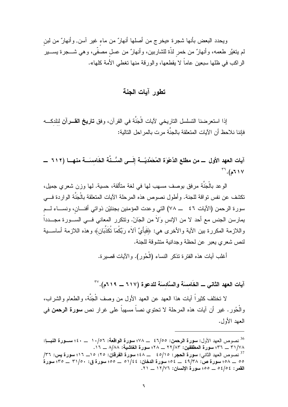ويحدد البعض بأنها شجرة «يخرج من أصلها أنهارٌ من ماء غير آسن, وأنهارٌ من لبن لم يتغيَّر طعمه، وأنهارٌ من خمر لذَّة للشاربين، وأنهارٌ من عسل مصفَّى، وهي شــــجرة يســـير الراكب في ظلها سبعين عاماً لا يقطعها، والورقة منها تغطي الأمة كلها».

## تطور آيات الجنة

إذا استعرضنا التسلسل التاريخي لأيات الْجَنَّة في القرآن، وفق **تاريخ القـــرآن** لنلدكـــه فإننا نلاحظ أن الآيات المتعلقة بالجنَّة مر ت بالمر احل التالية:

آيات العهد الأول ــــ من مطلع الدَّعْوَة المُحَمَّديّــــة إلَــــى السُّــنَّة الخَامسَـــة منهـــا (٦١٢ ــــ  $57.6$  (  $7.1$   $y$ 

الوعد بالْجَنَّة مرفق بوصف مسهب لمها في لغة متألقة، حسية. لمها وزن شعري جميل، تكشف عن نفس تواقة للجنة. وأطول نصوص هذه المرحلة الآيات المتعلقة بالْجَنَّة الواردة فـــي سورة الرحمن (الآيات ٤٦ \_\_ ٧٨) التي وحدت المؤمنين بجنتيْن ذواتي أفنـــان، ونســـاء لـــم يمارسن الجنس مع أحد لا من الإنس وَلاَ من الجَانّ. ونتكرر المعاني فـــي الســـورة مجـــدداً واللازمة المكررة بين الآية والأخرى هي: ﴿فَبَأَيِّ ٱلاءِ رَبِّكُمَا نُكَذِّبَانَ﴾ وهذه اللازمة أساســـبة لنص شعر ي يعبر عن لحظة وجدانية منشوقة للجنة.

أغلب آيات هذه الفتر ة تذكر النساء (الْحُور ). والآيات قصير ة.

آيات العهد الثاني ــ الخَامسَة والسَّادسَة للدعوة (٦١٧ ــ ٢١٩م). ``'

لا نختلف كثيراً آيات هذا العهد عن العهد الأول من وصف الْجَنَّة، والطعام والشراب، والْحُورِ . غير أن آيات هذه المرحلة لا تحتوي نصاً مسهباً على غرار نص **سورة الرحمن** في العهد الأول.

<sup>&</sup>lt;sup>36</sup> نصوص العهد الأول: **سورة الرحمن: ٤٦/٥٥ \_\_ ٧٨؛ سورة الواقعة: ١٠/٥**٦ \_\_ ٤٠؛ ســـورة النبـــإ: ٣١/٧٨ \_ ٣٦؛ سورة المطففين: ٢٢/٨٣ \_ ٢٢؛ سورة الغاشية: ٨/٨٨ \_ ١٦. <sup>37</sup> نصوص العهد الثاني: سورة الحجر : ٤٥/١٥ ـــ ٤٤٨ سورة الفرقان: ٢٥: ١٥ ـــ ١١٦؛ سورة بس: ٣٦/ ٥٥ \_ ٥٨؛ سورة ص: ٤٩/٣٨ \_ ٥٤؛ سورة الدخان: ٥١/٤٤ \_ ٥٥؛ سورة ق: ٣١/٥٠ \_ ٣٥؛ سورة القمر: ٥٤/٥٤ \_ ٥٥٥؛ سورة الإنسان: ١٢/٧٦ \_ ٢١.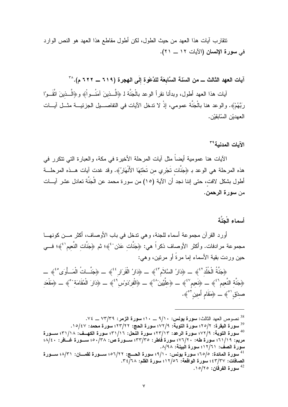نتقارب أيات هذا العهد من حيث الطول، لكن أطول مقاطع هذا العهد هو النص الوارد في سورة الإنسان (الآيات ١٢ ــ ٢١).

آيات العهد الثالث ـــ من السنّــة السَّابِعَة للدَّعْوة إِلَى الـهجرة (٦١٩ ـــ ٢٢٢ م). ``'

آيات هذا العهد أطول، وبدأنا نقرأ الوعد بالْجَنَّة لـ ﴿الَّــذينَ آمَنُــواْ﴾ و﴿الَّــذينَ اتَّقَــوْا رَبَّهُمْ﴾. والوعد هنا بالْجَنَّة عمومي، إذْ لا ندخل الآيات في النفاصــــيل الجزئيـــة مثـــل آيــــات العهديْن السّابِقيْن.

الآيات المدنية<sup>٣٩</sup>

الآيات هنا عمومية أيضاً مثل آيات المرحلة الأخيرة في مكة، والعبارة التي تتكرر في هذه المرحلة هي الوعد بـ ﴿جَنَّات تَجْري من تَحْتهَا الأَنْهَارُ﴾. وقد غدت آيات هـــذه المرحلـــة أطول بشكل لافت، حتى إننا نـجد أن الآية (١٥) من سورة مـحمد عن الْـجَنَّة تـعادل عشر آيـــات من سور ة الرحمن.

أسماء الْحَنَّة

أورد القرآن مجموعة أسماء للجنة، وهي ندخل في باب الأوصاف، أكثر مـــن كونهـــا مجموعة مرادفات. وأكثر الأوصاف ذكراً هي: ﴿جَنَّات عَدْن لَهُ؛ ثم ﴿جَنَّات النَّعيم لَـُ ﴾؛ فـــي حين وردت بقية الأسماء إما مرةً أو مرتين، وهي:

﴿جَنَّةُ الْخُلْد<sup>ِ ۚ</sup>ۚ ﴾ \_ ﴿ذَارُ السَّلَامِ ۚ ﴾ \_ ﴿ذَارُ الْقَرَارِ ۚ ۚ ﴾ \_ ﴿جَنَّــاتُ الْمَــأُوَى ۚ ۚ ﴾ \_ هِجَنَّة النَّعيمِ بِهِ \_ هِنَعيم بِهِ \_ هِجَلَّيِّينَ ^ مَ ﴾ \_ هِالْفِرْدَوِي لَهُ ﴾ \_ هِدَارَ الْمُقَامَة ` ﴾ \_ هِمَقْعَد صدْق <sup>٥</sup>°﴾ \_\_ ﴿مَقَام أَمين َ °﴾.

<sup>&</sup>lt;sup>38</sup> نصوص العهد الثالث: **سورة يونس: ٩/١٠ \_\_ ١٠؛ سورة الزمر: ٧٣/٣٩ \_\_ ٧٤.** <sup>39</sup> سورة البقرة: ٢٥/٢؛ سورة التوبة: ٧٢/٩؛ سورة الحج: ٢٢/٢٢؛ سورة محمد: ١٥/٤٧. <sup>40</sup> سورة التوبة: ٧٢/٩؛ سورة الرعد: ٢٣/١٣؛ سورة النَّحل: ٣١/١٦؛ سورة الكهــف: ٣١/١٨؛ ســـورة مريم: ٦١/١٩؛ سورة طه: ٧٦/٢٠؛ سورة فاطر: ٣٣/٣٥؛ ســـورة ص: ٣٨/٤٠؛ ســـورة غـــافر: ٤٠/٤٠؛ سورة الصف: ١٢/٦١؛ سورة البينة: ٨/٩٨. سورة المائدة: ٦٥/٥؛ سورة يونس: ٩/١٠؛ سورة الحسج: ٥٦/٢٢؛ ســورة لقمـــان: ٨/٣١؛ ســورة الصافات: ٤٣/٣٧؛ سورة الواقعة: ١٢/٥٦؛ سورة القلم: ٣٤/٦٨. . سورة الفرقان: ١٥/٢٥.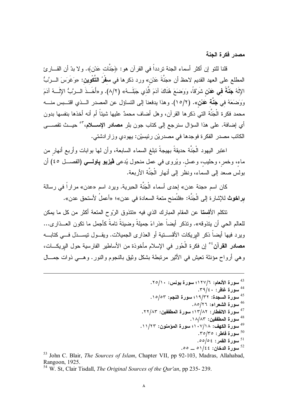مصدر فكرة الجنة

قلنا للتو إن أكثر أسماء الجنة تردداً في القرآن هو: ﴿جَنَّات عَدْنِ﴾. ولا بدّ أن القـــارئ المطلع على العهد القديم لاحظ أن «جَنَّةَ عَدْن» ورد ذكرها في **سفْرُ التَّكْوين:** «وَغَرَسَ الــرَّبُّ الإِلَهُ **جَنَّةَ فـى عَدْن** شَرْقاً، وَوَضـَعَ هُنَاكَ آدَمَ الَّذي جَبَلَــهُ» (٨/٢). و«أَخَــذَ الـــرَّبُّ الإِلَـــهُ آدَمَ وَوَصَعَهُ في جَنَّة عَنْن». (١٥/٢). وهذا يدفعنا إلى النساؤل عن المصدر الــذي اقتـــبس منــــه محمد فكرة الْجَنَّة التي ذكرها القرآن، وهل أضاف محمدٌ عليها شيئاً أم أنه أخذها بنفسها بدون أي إضافة. على هذا السؤال سنرجع إلى كتاب جون بلر **مصادر الإســـلام**،"° حيــث تقصــــى الكاتب مصدر الفكرة فوجدها في مصدريْن رئيسيْن: يهودي وزار ادشتي.

اعتبر اليهود الْجَنَّة حديقةً بهيجةً نبلغ السماء السابعة، وأن لها بوابات وأربع أنهار من ماء، وخمر ، وحليب، وعسل. ويُروى في عمل منحول يُدعى **ڤيزيو پاونسي (**الفصـــل ٤٥) أن بولس صعد إلى السماء، ونظر إلى أنهار الْجَنَّة الأربعة.

كان اسم «جنة عدن» إحدى أسماء الْجَنَّة الحبرية. ويرد اسم «عدن» مراراً في رسالة برا**خوث** للإشارة إلى الْجَنَّة: «فلنُمنح متعة السعادة في عدن»؛ «أعملُ لأستحق عدن».

نتكلم الأق**ستا** عن المقام المبارك الذي فيه «نتذوق الرّوح المتعة أكثر من كل ما يمكن للعالم الحي أن يتذوقه». وتذكر أيضاً عذراءً جميلةً وضيئةً تامةً كأجمل ما تكون العــذاري... ويرد فيها أيضاً ذكر البريكات الأفســـتية أو العذارى الجميلات. ويقـــول تيســـذل فــــى كتابــــه مصادر القرآن ُ ۚ إن فكر ة الْحُورِ في الإسلام مأخوذة من الأساطير الفارسية حول البريكـــات، و هي أرواح مؤنثة تعيش في الأثير مرتبطة بشكل وثيق بالنجوم والنور . و هـــي ذوات جمـــال

<sup>53</sup> John C. Blair, *The Sources of Islam*, Chapter VII, pp 92-103, Madras, Allahabad, Rangoon, 1925.

<sup>54</sup> W. St. Clair Tisdall, *The Original Sources of the Our'an*, pp 235-239.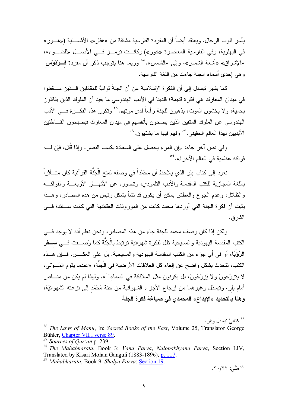يأسر قلوب الر جال. ويعتقد أيضـاً أن المفر دة الفار سية مشتقة من «هقار ه» الأقســـتية («هـــور » في البهلوية، وفي الفارسية المعاصرة «خور») وكانــت ترمــز فـــي الأصـــل «للضـــوء»، «الإشراق» «أشعة الشمس»، وإلى «الشمس».°° وربما هنا يتوجب ذكر أن مفردة فـــرْدَوْس وهي إحدى أسماء الجنة جاءت من اللغة الفارسية.

كما يشير نيسدل إلى أن الفكرة الإسلامية عن أن الجنةَ ثوابٌ للمقاتلين الـــذين ســـقطوا في ميدان المعارك هي فكرة قديمة؛ فلدينا في الأدب الهندوسي ما يفيد أن الملوك الذين يقاتلون بحمية، ولا يخشون الموت، يذهبون للجنة رأساً لدى موتهم.<sup>٦</sup>° وتكرر هذه الفكـــرة فـــى الأدب الهندوسي عن الملوك المنقين الذين يضحون بأنفسهم في ميدان المعارك فيصبحون القـــاطنين الأبديين لهذا العالم الحقيقي.'`° ولهم فيها ما يشتهون.'<sup>^°</sup>

وفي نص آخر جاء: «إن المرء يحصل على السعادة بكسب النصر . وإذا قُتل، فإن لــــه فواكه عظمية في العالم الآخر !». <sup>٥٩</sup>

نعود إلى كتاب بلر الذي يلاحظ أن مُحَمَّداً في وصفه لمتع الْجَنَّة القرآنية كان متـــأثر اً باللغة المجازية للكتب المقدسة والأدب النلمودي، وتصوره عن الأنهـــار الأربعـــة والفواكـــه والظلال، وعدم الجوع والعطش بمكن أن يكون قد نشأ بشكل رئيس من هذه المصادر، وهـــذا يثبت أن فكرة الجنة التى أوردها محمد كانت من الموروثات العقائدية التي كانت ســـائدة فــــي الشرق.

ولكن إذا كان وصف محمد للجنة جاء من هذه المصادر ، ونحن نعلم أنه لا يوجد فــــى الكتب المقدسة اليهودية والمسيحية ظل لفكرة شهوانية ترتبط بالْجَنَّة كما وُصسفت فسي سسفر الزُوْيَا، أو في أي جزء من الكتب المقدسة اليهودية والمسيحية. بل على العكــس، فـــإن هـــذه الكتب، تتحدث بشكل واضح عن الغاء كل العلاقات الأرضية في الْجَنَّة؛ «عندما يقوم المَــوْتي، لا يتزوَّجونَ و لا يُزوَّجُونَ، بل يكونون مثل الملائكة في السماء<sup>. ٦</sup>». ولهذا لم يكن من منــــاص أمام بلر ، ونيسدل وغيرهما من إرجاع الأجزاء الشهوانية من جنة مُحَمَّد إلىي نزعته الشهوانيَّة، وهنا بالتحديد «الإبداع» المحمدي في صياغة فكرة الجنة.

<sup>&</sup>lt;sup>55</sup> كتابي تيسدل وبلر .

The Laws of Manu, In: Sacred Books of the East, Volume 25, Translator George Bühler, Chapter VII, verse 89.

 $57$  Sources of Our'an p. 239.

<sup>&</sup>lt;sup>58</sup> The Mahabharata, Book 3: Vana Parva, Nalopakhyana Parva, Section LIV, Translated by Kisari Mohan Ganguli (1883-1896), p. 117. <sup>59</sup> Mahabharata, Book 9: Shalya Parva: Section 19.

<sup>.</sup> مَتَّى: ٢٠/٢٢.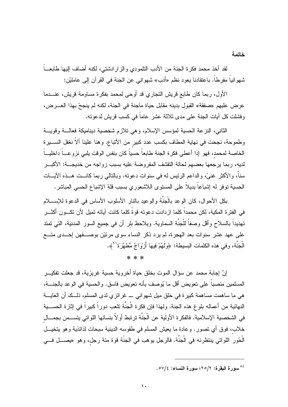لقد أخذ محمد فكرة الجنة من الأدب التلمودي والزار ادشتي، لكنه أضاف إليها طابعــاً شهوانياً مفرطاً. باعتقادنا بعود نظم «أدب» شهوانـي عن الـجنة فـي القرآن إلـي عامليْن:

الأول، ربما كان طابع قريش التجاري قد أوحى لمحمد بفكرة مساومة قريش، عنـــدما عرض عليهم «صفقة» القبول بدينه مقابل حياة ماجنة في الجنة، لكنه لم ينجحْ بهذا العـــرض، وفشلت كل أيات الجنة على مدى ثلاثة عشر عاماً في كسب قريش لدعوته.

الثاني، النزعة الحسية لمؤسس الإسلام، وهي تلازم شخصية ديناميكة فعالــة وقويـــة وطموحة، نجحت في نهاية المطاف بكسب عدد كبير من الأنباع. وهنا علينا ألاّ نغفل الســـيرة الخاصة لمحمد، فهو إذا أعطي فكرة الجنة طابعاً حسياً كان بنفس الوقت يلبي نزوعـــاً داخليـــاً لديه، ربما برجعها بعضهم لحالة النقشف المفروضة عليه بسبب زواجه من خديجـــة: الأكبـــر سناً، و الأكثر ِ غنيَّ، و الداعم الرئيس له في سنوات دعوته. وبالتالي ربما كانــت هــذه الآيـــات الحسية نوفر له إشباعاً بديلاً على المستوى اللاشعوري بسبب قلة الإشباع الحسي المباشر.

بكل الأحوال، كان الوعد بالْجَنَّة والوعيد بالنار الأسلوب الأساس في الدعوة للإســــلام في الفترة المكية، لكن محمداً كلما ازدادت دعوته قوةً كلما كانت آياته تميل لأن تكـــون أكثـــر تهديداً بالسلاح وأقل وصفاً للْجَنَّة السماوية. ويلاحظ بلر أن في جميع السور المدنية، التي تمتد على عهد عشر سنوات بعد الهجرة، لم يرد ذكر النساء سوى مرتيْن بوصـــفهن إحـــدى متـــع الْجَنَّة، وفي هذه الكلمات البسيطة: ﴿وَلَـهُمْ فِيهَا أَزْوَاجٌ مُطَهَّرَة'`﴾.

 $* * *$ 

إنَّ إجابة محمد عن سؤال الموت بخلق حياة أخروية حسية غريزية، قد جعلت نفكيـــر المسلمين منصباً على نعويض أقل ما يُوصف بأنه نعويض فاسق. والحسية في الوعد بالجنــــة، هي ما ساهمت مساهمة كبيرة في خلق ميل شهواني \_ غرائزي لدى المسلم، ذلــك أن الغايـــة النهائية من أعماله بلو غ هذه الجنة. ولهذا فإن فكرة الْجَنَّة تلعب دوراً كبيراً في إثارة الحســـية في الشخصية الإسلامية. فالفكرة الأولية عن الْجَنَّة ترتبط أولاً بنسائها اللواتي يتســـمن بجمـــال خلاب، فوق أي تصور . وعادة ما يعيش المسلم في طقوسه الدينية سبحات لذائذية وهو يتخيـــل الْحُور اللواتي ينتظرنه في الْجَنَّة. فالرجل يوهب في الجنَّة قوة مئة رجل، وهو «يصــــل فـــي

<sup>&</sup>lt;sup>61</sup> سورة البقرة: ٢٥/٢؛ سورة النساء: ٥٧/٤.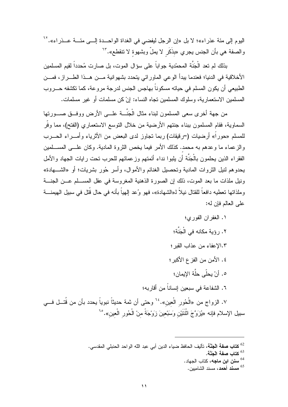اليوم إلى مئة عذر اء»؛ لا بل «إن الرجل ليفضي في الغداة الواحـــدة إلـــي مئــــة عـــذر اء». `` والصفة هي بأن الجنس يجري «بذَكَر لا يملُّ وبشهوة لا تتقطع». "`

بذلك لم تعد الْجَنَّة المحمّدية جواباً على سؤال الموت، بل صارت مُحدداً لقيم المسلمين الأخلاقية في الدنيا؛ فعندما يبدأ الوعي الماورائي يتحدد بشهوانية مـــن هــذا الطـــراز، فمـــن الطبيعي أن يكون المسلم في حياته مسكوناً بهاجس الجنس لدرجة مروعة، كما تكشفه حـــروب المسلمين الاستعمارية، وسلوك المسلمين تجاه النساء: إنْ كن مسلمات أو غير مسلمات.

من جهة أخرى سعي المسلمون لبناء مثال الْجَنَّــة علـــه الأرض ووفــق صـــورتها السماوية، فقام المسلمون ببناء جنتهم الأرضية من خلال النوسع الاستعماري (الفتح)، مما وفر للمسلم «حوراً» أرضيات (=رقيقات) ربما نجاوز لدى البعض من الأثرياء وأمــــراء الـــــــرب والزعماء ما وعدهم به محمد. كذلك الأمر فيما يخص الثروة المادية. وكان علـــي المســـلمين الفقراء الذين يحلمون بالْجَنَّة أن يلبوا نداء أئمتهم وزعمائهم للحرب نحت رايات الجهاد والأمل يحدوهم لنيل الثروات المادية وتحصيل الغنائم والأموال، وأسر حُور بشريات؛ أو «الشــــهادة» ونيل ملذات ما بعد الموت، ذلك إن الصورة الذهنية المغروسة في عقل المســلم عـــن الجنــــة وملذاتها تعطيه دافعاً للقتال نيلاً لـ«الشهادة»، فهو وُعد إلهياً بأنه في حال قُتل في سبيل الهيمنــــة على العالم فإن له:

> ١. الغفر ان الفور ي؛ ٢. رؤية مكانه في الْجَنَّة؛ ١.٣لإعفاء من عذاب القبر ؛ ٤. الأمن من الفز ع الأكبر ؛ ٥. أنْ يحلِّي حلَّة الإيمان؛ ٦. الشفاعة في سبعين إنساناً من أقار به؛

٧. الزواج من «الْحُور الْعين». <sup>٢٤</sup> وحتى أن ثمة حديثاً نبوياً يحدد بأن من قُتــل فـــي سبيل الإسلام فإنه «يُزَوَّجَ اثْنَتَيْنِ وَسَبْعِينَ زَوْجَةً مِنْ الْحُورِ الْعِينِ».°<sup>٢</sup>

- <sup>64</sup> سنن ابن ماجه، كتاب الجهاد.
- <sup>65</sup> م**سند أحمد**، مسند الشامبين.

<sup>&</sup>lt;sup>62</sup> ك**تاب صفة الْجَنَّة،** تأليف الحافظ ضياء الدين أبي عبد الله الواحد الحنبلي المقدسي.

كتاب صفة الْجَنَّة.  $^{63}$